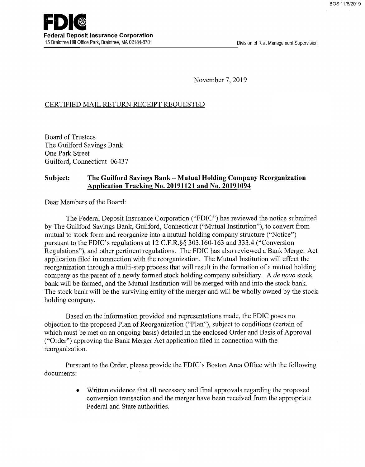November 7, 2019

### CERTIFIED MAIL RETURN RECEIPT REQUESTED

Board of Trustees The Guilford Savings Bank One Park Street Guilford, Connecticut 06437

#### Subject: The Guilford Savings Bank - Mutual Holding Company Reorganization Application Tracking No. 20191121 and No. 20191094

Dear Members of the Board:

The Federal Deposit Insurance Corporation ("FDIC") has reviewed the notice submitted by The Guilford Savings Bank, Guilford, Connecticut ("Mutual Institution"), to convert from mutual to stock form and reorganize into a mutual holding company structure ("Notice") pursuant to the FDIC's regulations at 12 C.F.R.§§ 303.160-163 and 333.4 ("Conversion Regulations"), and other pertinent regulations. The FDIC has also reviewed a Bank Merger Act application filed in connection with the reorganization. The Mutual Institution will effect the reorganization through a multi-step process that will result in the formation of a mutual holding company as the parent of a newly formed stock holding company subsidiary. A de novo stock bank will be formed, and the Mutual Institution will be merged with and into the stock bank. The stock bank will be the surviving entity of the merger and will be wholly owned by the stock holding company.

Based on the information provided and representations made, the FDIC poses no objection to the proposed Plan of Reorganization ("Plan"), subject to conditions (certain of which must be met on an ongoing basis) detailed in the enclosed Order and Basis of Approval ("Order") approving the Bank Merger Act application filed in connection with the reorganization.

Pursuant to the Order, please provide the FDIC's Boston Area Office with the following documents:

> Written evidence that all necessary and final approvals regarding the proposed  $\bullet$ conversion transaction and the merger have been received from the appropriate Federal and State authorities.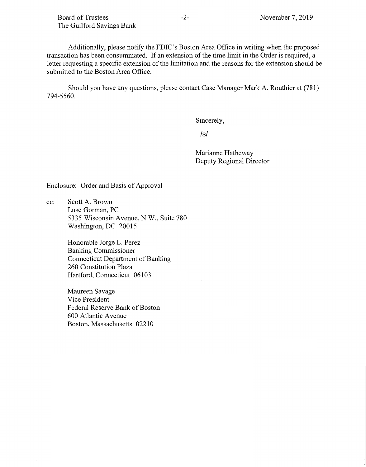Additionally, please notify the FDIC's Boston Area Office in writing when the proposed transaction has been consummated. If an extension of the time limit in the Order is required, a letter requesting a specific extension of the limitation and the reasons for the extension should be submitted to the Boston Area Office.

Should you have any questions, please contact Case Manager Mark A. Routhier at (781) 794-5560.

Sincerely,

/s/

Marianne Hatheway Deputy Regional Director

Enclosure: Order and Basis of Approval

cc: Scott A. Brown Luse Gorman, PC 5335 Wisconsin Avenue, N.W., Suite 780 Washington, DC 20015

> Honorable Jorge L. Perez Banking Commissioner Connecticut Department of Banking 260 Constitution Plaza Hartford, Connecticut 06103

Maureen Savage Vice President Federal Reserve Bank of Boston 600 Atlantic Avenue Boston, Massachusetts 02210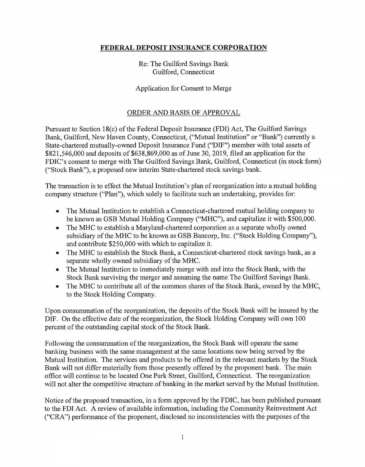## FEDERAL DEPOSIT INSURANCE CORPORATION

Re: The Guilford Savings Bank Guilford, Connecticut

## Application for Consent to Merge

# ORDER AND BASIS OF APPROVAL

Pursuant to Section 18(c) of the Federal Deposit Insurance (FDI) Act, The Guilford Savings Bank, Guilford, New Haven County, Connecticut, ("Mutual Institution" or "Bank") currently a State -chartered mutually -owned Deposit Insurance Fund ("DIF") member with total assets of \$821,546,000 and deposits of \$638,869,000 as of June 30, 2019, filed an application for the FDIC's consent to merge with The Guilford Savings Bank, Guilford, Connecticut (in stock form) ("Stock Bank"), a proposed new interim State -chartered stock savings bank.

The transaction is to effect the Mutual Institution's plan of reorganization into a mutual holding company structure ("Plan"), which solely to facilitate such an undertaking, provides for:

- The Mutual Institution to establish a Connecticut -chartered mutual holding company to  $\bullet$ be known as GSB Mutual Holding Company ("MHC"), and capitalize it with \$500,000.
- The MHC to establish a Maryland-chartered corporation as a separate wholly owned subsidiary of the MHC to be known as GSB Bancorp, Inc. ("Stock Holding Company"), and contribute \$250,000 with which to capitalize it.
- The MHC to establish the Stock Bank, a Connecticut -chartered stock savings bank, as a  $\bullet$ separate wholly owned subsidiary of the MHC.
- The Mutual Institution to immediately merge with and into the Stock Bank, with the  $\bullet$ Stock Bank surviving the merger and assuming the name The Guilford Savings Bank.
- The MHC to contribute all of the common shares of the Stock Bank, owned by the MHC,  $\bullet$ to the Stock Holding Company.

Upon consummation of the reorganization, the deposits of the Stock Bank will be insured by the DIF. On the effective date of the reorganization, the Stock Holding Company will own 100 percent of the outstanding capital stock of the Stock Bank.

Following the consummation of the reorganization, the Stock Bank will operate the same banking business with the same management at the same locations now being served by the Mutual Institution. The services and products to be offered in the relevant markets by the Stock Bank will not differ materially from those presently offered by the proponent bank. The main office will continue to be located One Park Street, Guilford, Connecticut. The reorganization will not alter the competitive structure of banking in the market served by the Mutual Institution.

Notice of the proposed transaction, in a form approved by the FDIC, has been published pursuant to the FDI Act. A review of available information, including the Community Reinvestment Act ("CRA") performance of the proponent, disclosed no inconsistencies with the purposes of the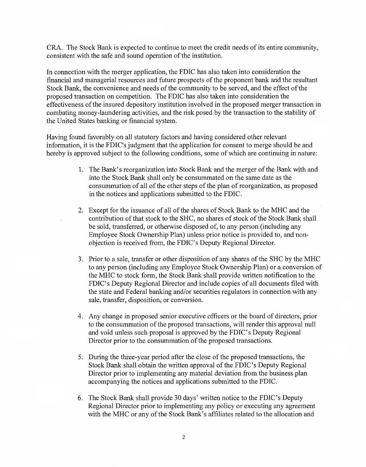CRA. The Stock Bank is expected to continue to meet the credit needs of its entire community, consistent with the safe and sound operation of the institution.

In connection with the merger application, the FDIC has also taken into consideration the financial and managerial resources and future prospects of the proponent bank and the resultant Stock Bank, the convenience and needs of the community to be served, and the effect of the proposed transaction on competition. The FDIC has also taken into consideration the effectiveness of the insured depository institution involved in the proposed merger transaction in combating money-laundering activities, and the risk posed by the transaction to the stability of the United States banking or financial system.

Having found favorably on all statutory factors and having considered other relevant information, it is the FDIC's judgment that the application for consent to merge should be and hereby is approved subject to the following conditions, some of which are continuing in nature:

- 1. The Bank's reorganization into Stock Bank and the merger of the Bank with and into the Stock Bank shall only be consummated on the same date as the consummation of all of the other steps of the plan of reorganization, as proposed in the notices and applications submitted to the FDIC.
- 2. Except for the issuance of all of the shares of Stock Bank to the MHC and the contribution of that stock to the SHC, no shares of stock of the Stock Bank shall be sold, transferred, or otherwise disposed of, to any person (including any Employee Stock Ownership Plan) unless prior notice is provided to, and nonobjection is received from, the FDIC's Deputy Regional Director.
- 3. Prior to a sale, transfer or other disposition of any shares of the SHC by the MHC to any person (including any Employee Stock Ownership Plan) or a conversion of the MHC to stock form, the Stock Bank shall provide written notification to the FDIC's Deputy Regional Director and include copies of all documents filed with the state and Federal banking and/or securities regulators in connection with any sale, transfer, disposition, or conversion.
- 4. Any change in proposed senior executive officers or the board of directors, prior to the consummation of the proposed transactions, will render this approval null and void unless such proposal is approved by the FDIC's Deputy Regional Director prior to the consummation of the proposed transactions.
- 5. During the three-year period after the close of the proposed transactions, the Stock Bank shall obtain the written approval of the FDIC's Deputy Regional Director prior to implementing any material deviation from the business plan accompanying the notices and applications submitted to the FDIC.
- 6. The Stock Bank shall provide 30 days' written notice to the FDIC's Deputy Regional Director prior to implementing any policy or executing any agreement with the MHC or any of the Stock Bank's affiliates related to the allocation and